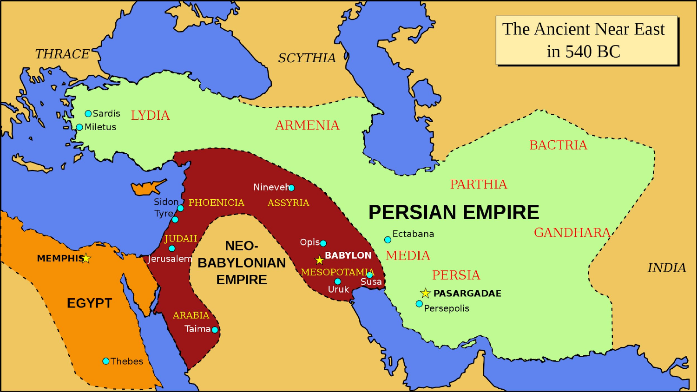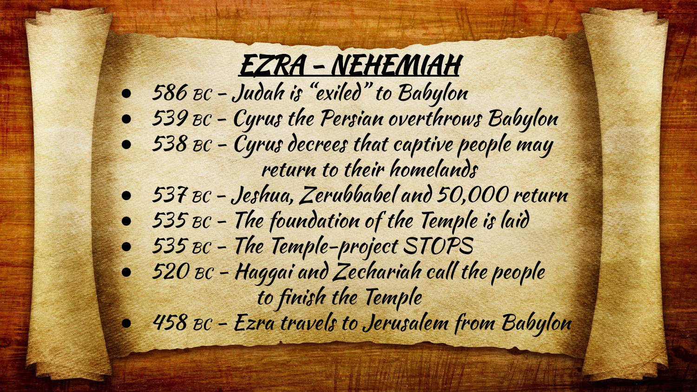#### EZRA - NEHEMIAH

- $\bullet$  586 BC Judah is "exiled" to Babylon
- 539 BC Cyrus the Persian overthrows Babylon
- $\bullet$  538 BC Cyrus decrees that captive people may return to their homelands
- 537 BC Jeshua, Zerubbabel and 50,000 return
- $\bullet$  535 BC The foundation of the Temple is laid
- 535 BC The Temple-project STOPS
- $\bullet$  520  $\texttt{BC}$  Haggai and Zechariah call the people to finish the Temple
- 458 BC Ezra travels to Jerusalem from Babylon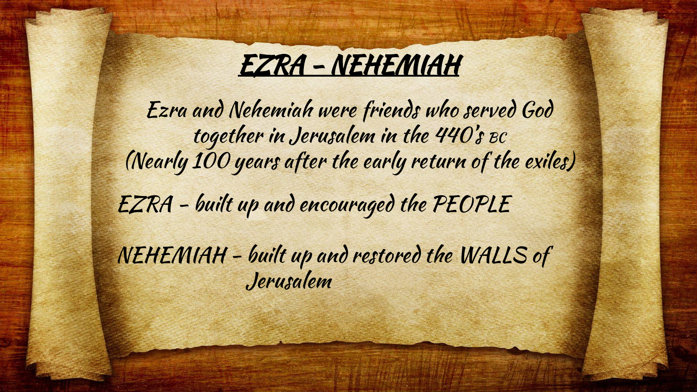

Ezra and Nehemiah were friends who served God together in Jerusalem in the 440's BC (Nearly 100 years after the early return of the exiles) EZRA - built up and encouraged the PEOPLE NEHEMIAH - built up and restored the WALLS of Jerusalem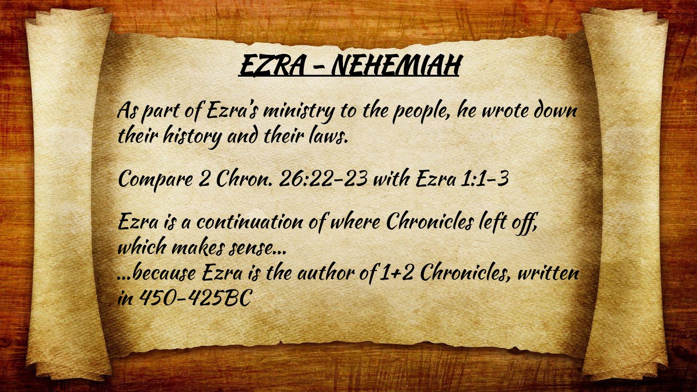

As part of Ezra's ministry to the people, he wrote down their history and their laws.

Compare 2 Chron. 26:22-23 with Ezra 1:1-3

Ezra is a continuation of where Chronicles left off, which makes sense… …because Ezra is the author of 1+2 Chronicles, written in 450-425BC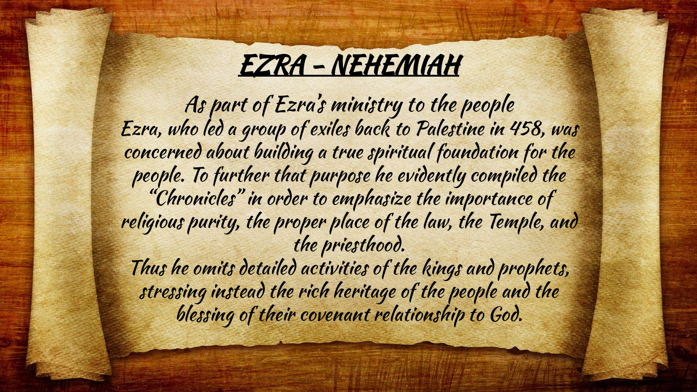

As part of Ezra's ministry to the people Ezra, who led a group of exiles back to Palestine in 458, was concerned about building a true spiritual foundation for the people. To further that purpose he evidently compiled the "Chronicles" in order to emphasize the importance of religious purity, the proper place of the law, the Temple, and the priesthood. Thus he omits detailed activities of the kings and prophets,

stressing instead the rich heritage of the people and the blessing of their covenant relationship to God.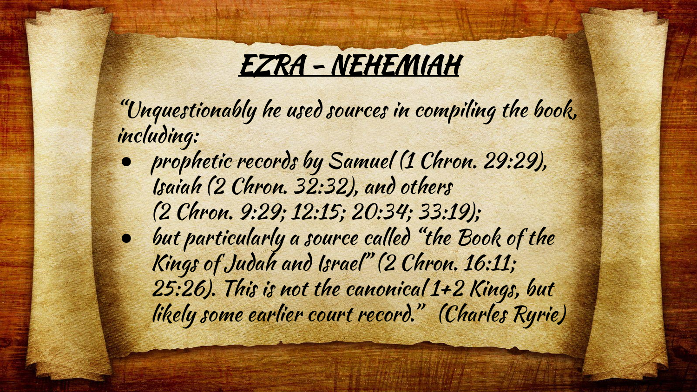

"Unquestionably he used sources in compiling the book, including:

- prophetic records by Samuel (1 Chron. 29:29), Isaiah (2 Chron. 32:32), and others (2 Chron. 9:29; 12:15; 20:34; 33:19);
- but particularly a source called "the Book of the Kings of Judah and Israel" (2 Chron. 16:11; 25:26). This is not the canonical 1+2 Kings, but likely some earlier court record." (Charles Ryrie)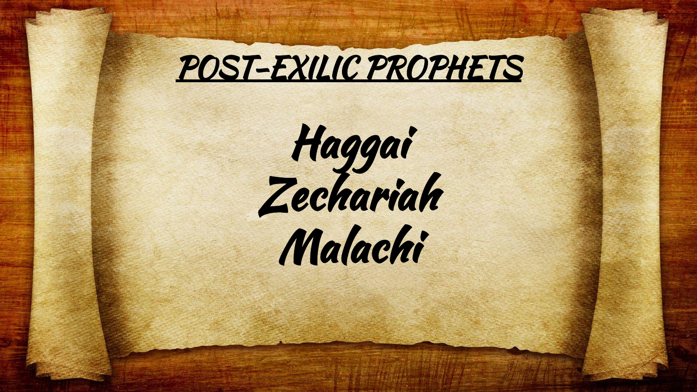

Haggai Zechariah Malachi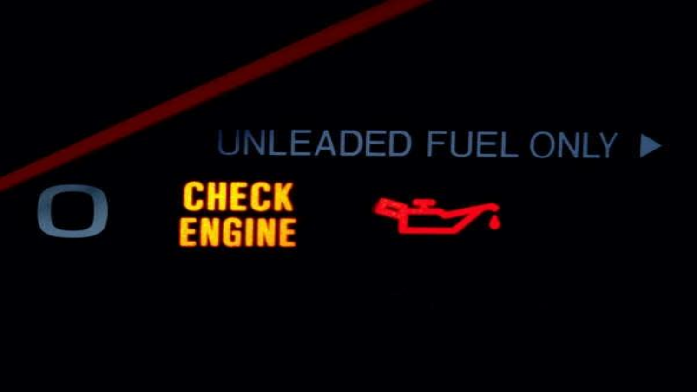## UNLEADED FUEL ONLY





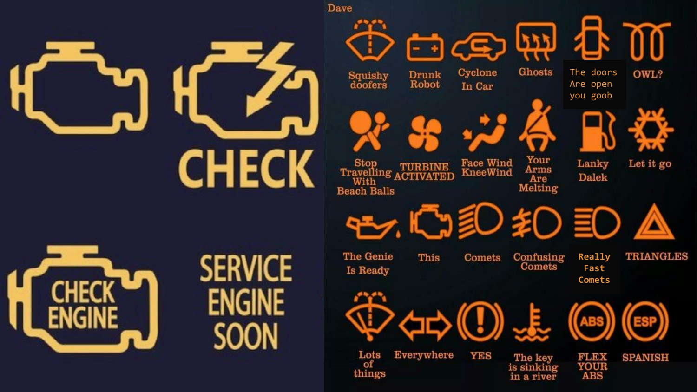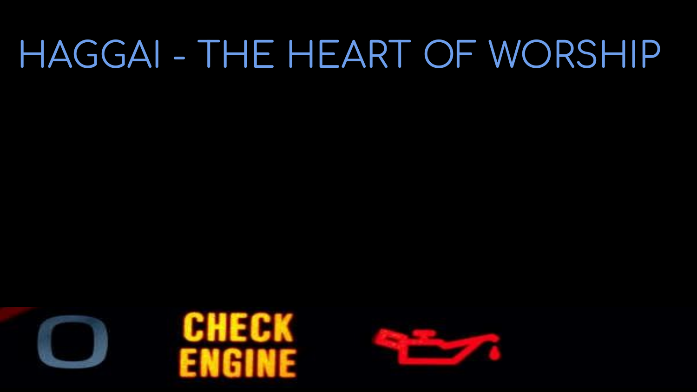# HAGGAI - THE HEART OF WORSHIP





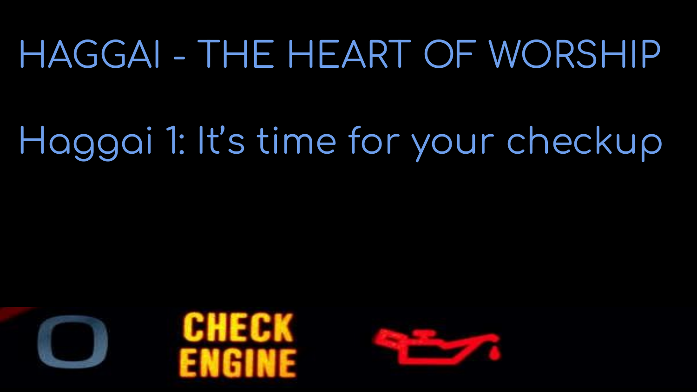## HAGGAI - THE HEART OF WORSHIP

# Haggai 1: It's time for your checkup





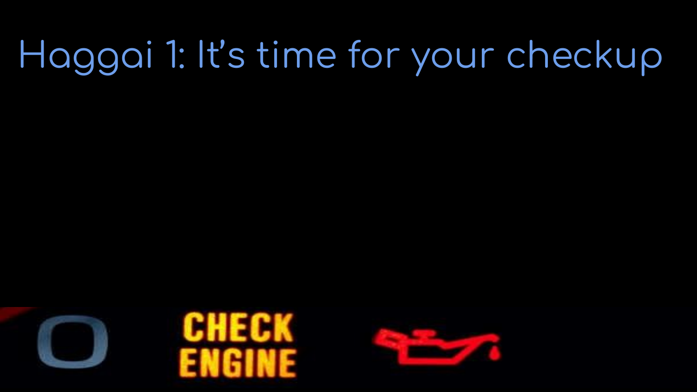



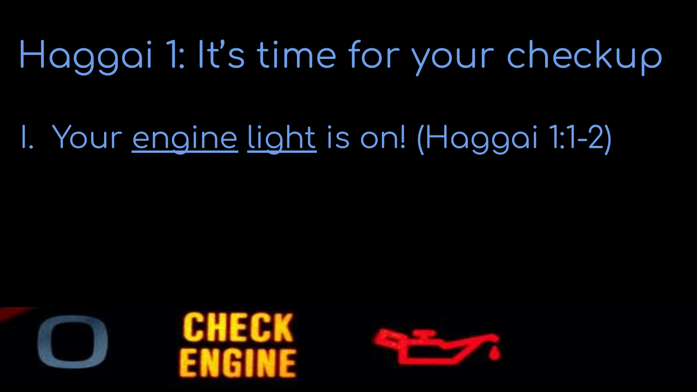### I. Your engine light is on! (Haggai 1:1-2)





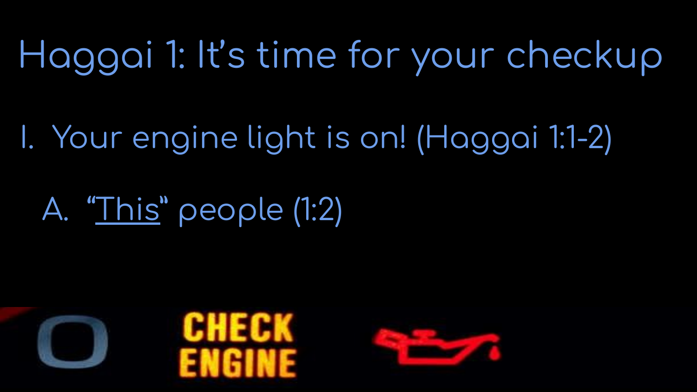I. Your engine light is on! (Haggai 1:1-2)

### A. "This" people (1:2)





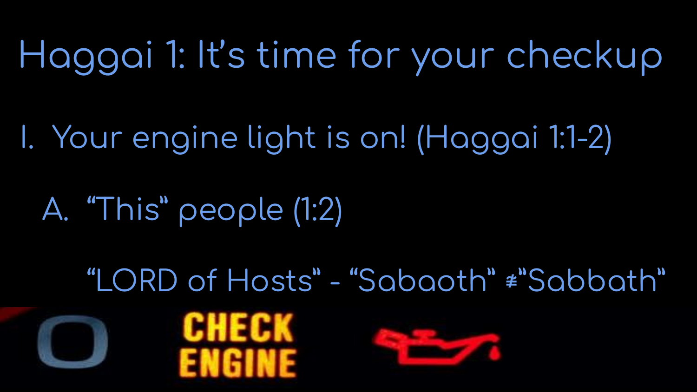I. Your engine light is on! (Haggai 1:1-2)

## A. "This" people (1:2)

"LORD of Hosts" - "Sabaoth" #"Sabbath"





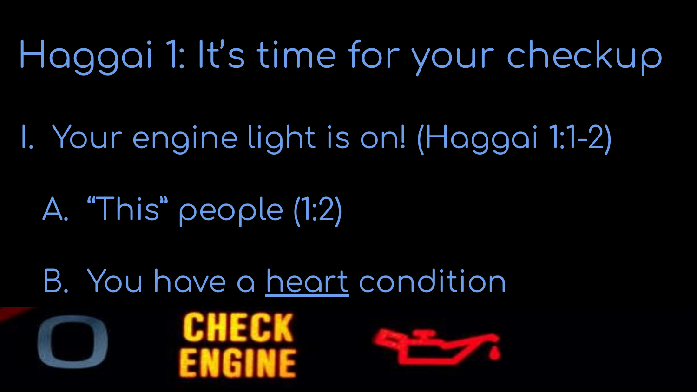I. Your engine light is on! (Haggai 1:1-2)

A. "This" people (1:2)

B. You have a heart condition





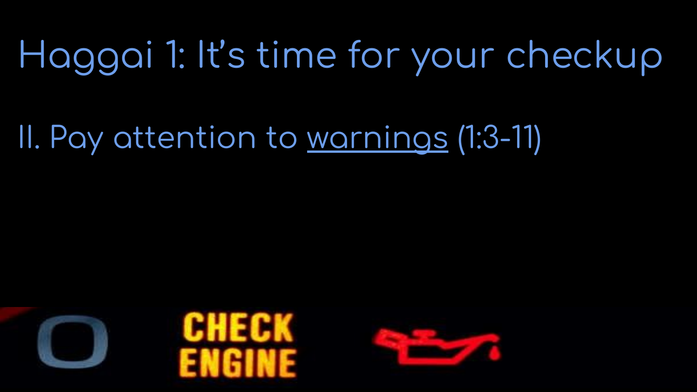### II. Pay attention to warnings (1:3-11)





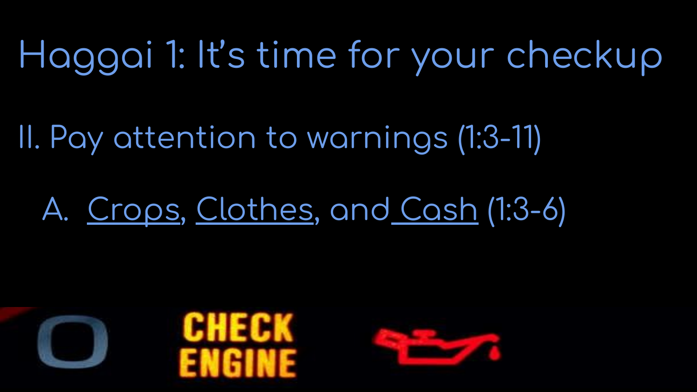II. Pay attention to warnings (1:3-11)

#### A. Crops, Clothes, and Cash (1:3-6)





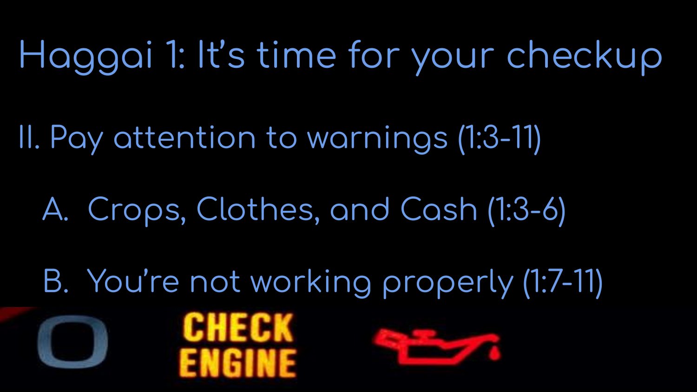II. Pay attention to warnings (1:3-11)

A. Crops, Clothes, and Cash (1:3-6)

B. You're not working properly (1:7-11)



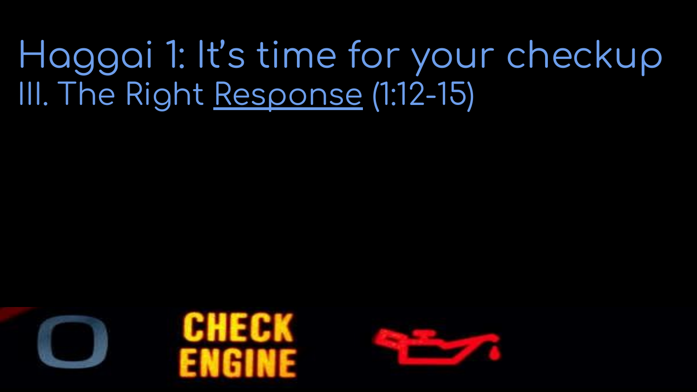



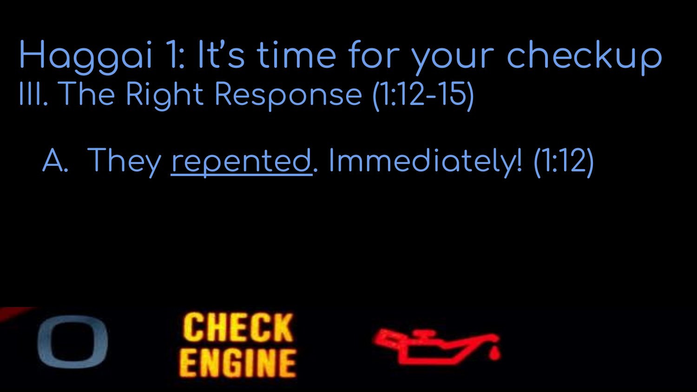A. They repented. Immediately! (1:12)





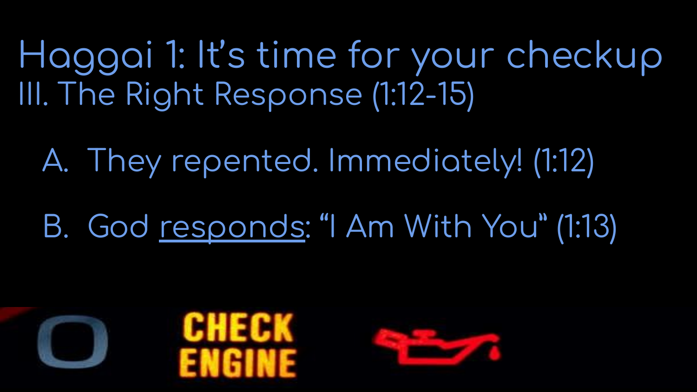A. They repented. Immediately! (1:12)

B. God responds: "I Am With You" (1:13)





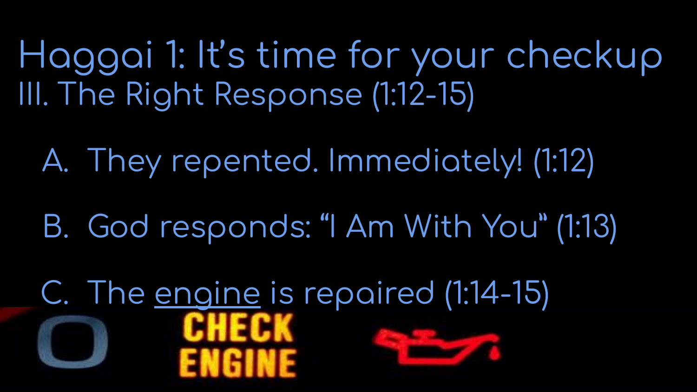A. They repented. Immediately! (1:12)

B. God responds: "I Am With You" (1:13)

C. The engine is repaired (1:14-15)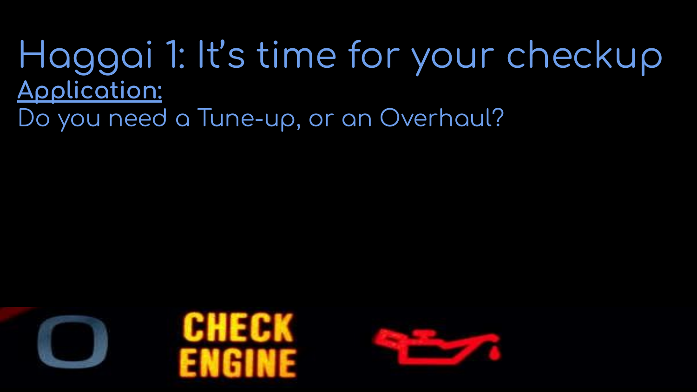#### Haggai 1: It's time for your checkup **Application:** Do you need a Tune-up, or an Overhaul?





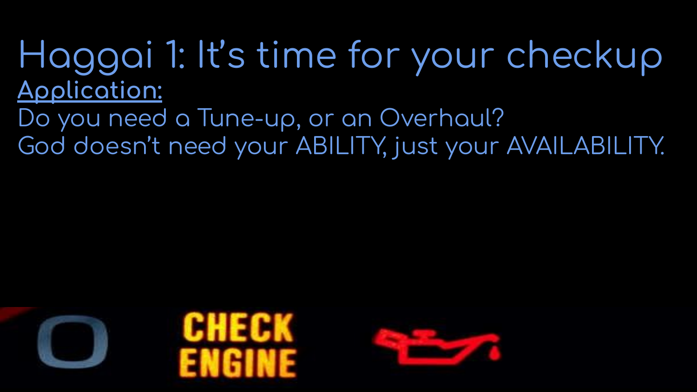Do you need a Tune-up, or an Overhaul? God doesn't need your ABILITY, just your AVAILABILITY.





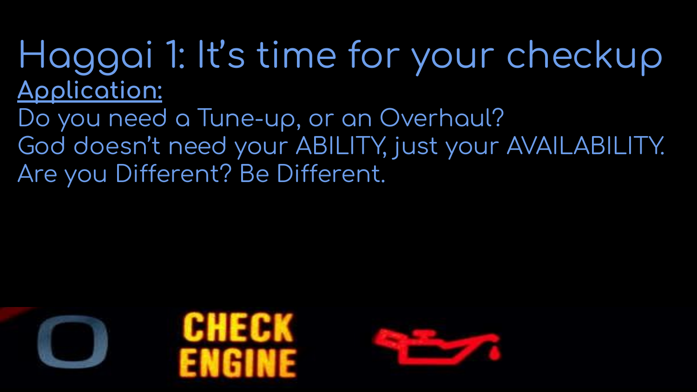Do you need a Tune-up, or an Overhaul? God doesn't need your ABILITY, just your AVAILABILITY. Are you Different? Be Different.





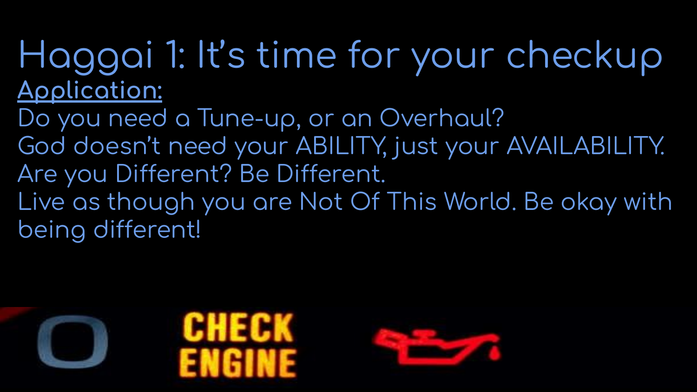Do you need a Tune-up, or an Overhaul? God doesn't need your ABILITY, just your AVAILABILITY. Are you Different? Be Different. Live as though you are Not Of This World. Be okay with being different!

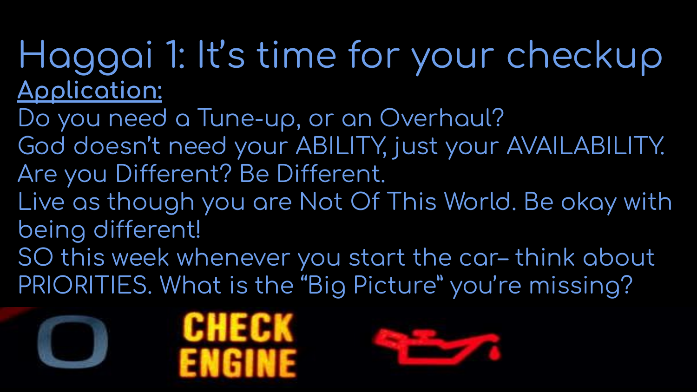Do you need a Tune-up, or an Overhaul? God doesn't need your ABILITY, just your AVAILABILITY. Are you Different? Be Different. Live as though you are Not Of This World. Be okay with being different! SO this week whenever you start the car-think about PRIORITIES. What is the "Big Picture" you're missing?